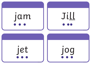



## jog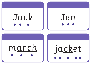



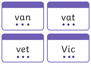



Vic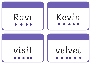# Ravi

## Kevin



## velvet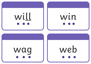





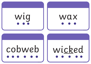



## cobweb

wicked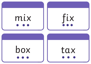

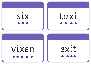



## vixen

exit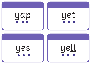### yap

## yet

### yes

### yell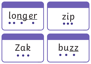





### Zak buzz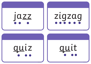

### zigzag



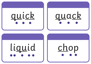# quick || quack

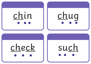

## chug

# check

such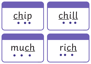





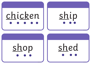# chicken | ship



## shop || shed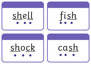# shell fish



# shock || cash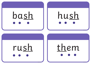# bash



## rush

## them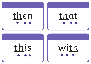# then





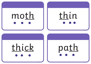# moth thin



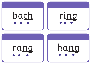





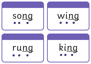



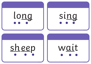



### sheep

wait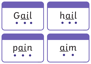



aim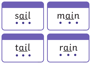





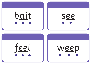

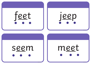



### seem

### meet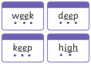# week deep

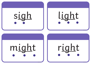





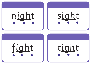





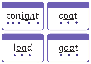# tonight | coat



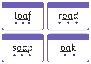

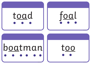

# b<u>oa</u>tman|| too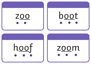



### zoom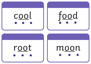



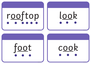# rooftop look





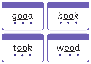# good book

### took wood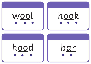





<u>bar</u>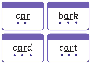



cart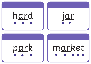





## market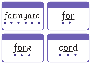# farmyard





## cord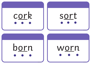



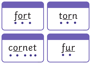



### cornet

<u>fur</u>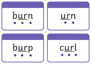





curl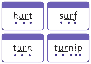

### turn

## turnip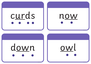# curds





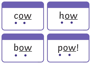

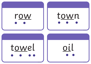

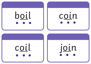



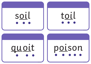



## poison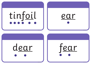





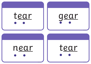



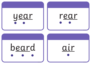

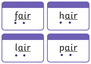



pair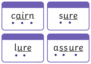



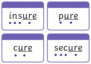





### secure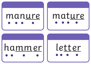### manure mature

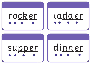# rock er

# ladder



dinner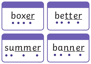## boxer II better



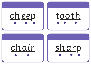# <u>cheep</u>

## tooth

### chair

## sharp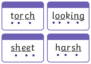## tor ch

# looking

### sheet

harsh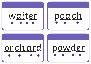# waiter

# poach

## orchard

## powder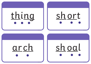

# short

### arch

## sh oal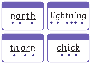# north

# lightning



## chick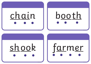# chain booth

# shook farmer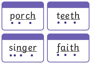# p<u>orch</u> || t<u>eeth</u>



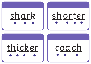# shark II shorter

# thicker || coach